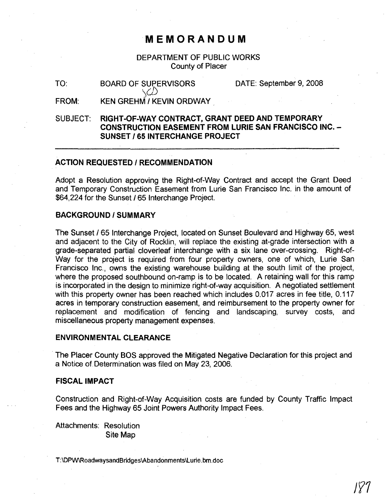## **MEMORANDUM**

DEPARTMENT OF PUBLIC WORKS County of Placer

TO: BOARD OF SUPERVISORS  $\setminus$ (*L*) DATE: September 9, 2008

FROM: KEN GREHM / KEVIN ORDWAY

SUBJECT: RIGHT-Of-WAY CONTRACT, GRANT DEED AND TEMPORARY CONSTRUCTION EASEMENT fROM LURIE SAN FRANCISCO INC. - SUNSET /65 INTERCHANGE PROJECT

#### ACTION REQUESTED / RECOMMENDATION

Adopt a Resolution approving the Right-of-Way Contract and accept the Grant Deed and Temporary Construction Easement from Lurie San Francisco Inc. in the amount of \$64,224 for the Sunset /65 Interchange Project.

#### BACKGROUND/SUMMARY

The Sunset /65 Interchange Project, located on Sunset Boulevard and Highway 65, west and adjacent to the City of Rocklin, will replace the existing at-grade intersection with a grade-separated partial cloverleaf interchange with a six lane over-crossing. Right-of-Way for the project is required from four property owners, one of Which, Lurie San Francisco Inc., owns the existing warehouse building at the south limit of the project, where the proposed southbound on-ramp is to be located. A retaining wall for this ramp is incorporated in the design to minimize right-of-way acquisition. A negotiated settlement with this property owner has been reached which includes 0.017 acres in fee title, 0.117 acres in temporary construction easement, and reimbursement to the property owner for replacement and modification of fencing and landscaping, survey costs, and miscellaneous property management expenses.

#### ENVIRONMENTAL CLEARANCE

.The Placer County BOS approved the Mitigated Negative Declaration for this project and a Notice of. Determination was filed on May 23, 2006.

### fiSCAL IMPACT

Construction and Right-of-Way Acquisition costs are funded by County Traffic Impact Fees and the Highway 65 Joint Powers Authority Impact Fees.

Attachments: Resolution Site Map

T:\DPW\RoadwaysandBridges\Abandonments\Lurie.bm.doc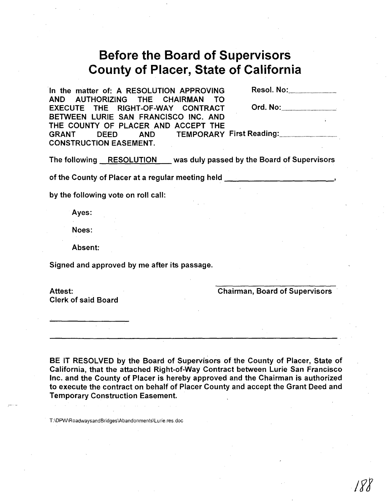# **Before the Board of Supervisors County of Placer, State of California**

·In the matter of: A RESOLUTION APPROVING Resol. No: . AND AUTHORIZING THE CHAIRMAN TO EXECUTE THE RIGHT-OF-WAY CONTRACT Ord. No: . BETWEEN LURIE SAN FRANCISCO INC. AND THE COUNTY OF PLACER AND ACCEPT THE GRANT DEED AND TEMPORARY First Reading: . CONSTRUCTION EASEMENT.

The following RESOLUTION was duly passed by the Board of Supervisors

of the County of Placer at a regular meeting held

by the following vote on roll call:

Ayes:

Noes:

Absent:

Signed and approved by me after its passage.

Attest:

Clerk of said Board

Chairman, Board of Supervisors

BE IT RESOLVED by the Board of Supervisors of the County of Placer, State of California, that the attached Right-of-Way Contract between Lurie San Francisco Inc. and the County of Placer is hereby approved and the Chairman is authorized to execute the contract on behalf of Placer County and accept the Grant Deed and Temporary Construction Easement.

T:\DPW\RoadwaysandBridges\Abandonments\Lurie.res.doc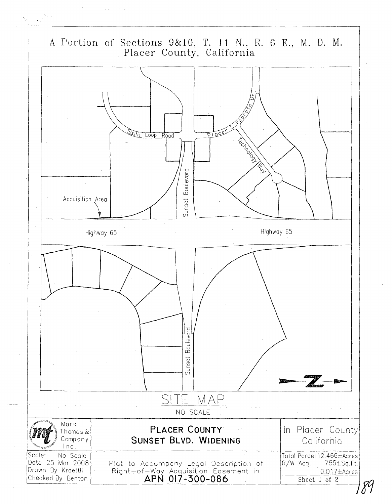

 $\mathcal{N}_{\mathcal{A}}$